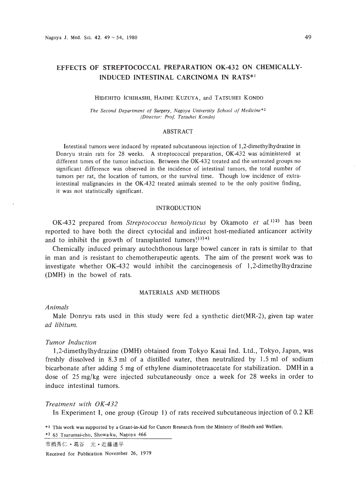# EFFECTS OF STREPTOCOCCAL PREPARATION OK-432 ON CHEMICALLY-INDUCED INTESTINAL CARCINOMA IN RATS\*I

#### HIDEHITO ICHIHASHI, HAJIME KUZUYA, and TATSUHEI KONDO

*The Second Department of Surgery, Nagoya University Schuul v! Medicine* \*2 *(Director: Prof. Tatsuhei Kondo)*

### ABSTRACT

Intestinal tumors were induced by repeated subcutaneous injection of 1,2-dimethylhydrazine in Donryu strain rats for 28 weeks. A streptococcal preparation, OK-432 was administered at different times of the tumor induction. Between the OK-432 treated and the untreated groups no significant difference was observed in the incidence of intestinal tumors, the total number of tumors per rat, the location of tumors, or the survival time. Though low incidence of extra· intestinal malignancies in the OK-432 treated animals seemed to be the only positive finding, it was not statistically significant.

#### INTRODUCTION

OK-432 prepared from *Streptococcus hemolyticus* by Okamoto *et al.* 1)2) has been reported to have both the direct cytocidal and indirect host-mediated anticancer activity and to inhibit the growth of transplanted tumors! $^{(3)}$ 3)4)

Chemically induced primary autochthonous large bowel cancer in rats is similar to that in man and is resistant to chemotherapeutic agents. The aim of the present work was to investigate whether OK-432 would inhibit the carcinogenesis of 1,2-dimethylhydrazine (DMH) in the bowel of rats.

## MATERIALS AND METHODS

#### *Animals*

Male Donryu rats used in this study were fed a synthetic diet(MR-2), given tap water *ad libitum.*

## *Tumor Induction*

1,2-dimethylhydrazine (DMH) obtained from Tokyo Kasai Ind. Ltd., Tokyo, Japan, was freshly dissolved in 8.3 ml of a distilled water, then neutralized by 1.5 ml of sodium bicarbonate after adding 5 mg of ethylene diaminotetraacetate for stabilization. DMH in a dose of 25 mg/kg were injected subcutaneously once a week for 28 weeks in order to induce intestinal tumors.

## *Treatment with OK-432*

In Experiment I, one group (Group 1) of rats received subcutaneous injection of 0.2 KE

\*I This work was supported by a Grant·in·Aid for Cancer Research from the Ministry of Health and Welfare.

\*2 65 Tsurumai-eho, Showa-ku, Nagoya 466

市橋秀仁·葛谷 元·近藤達平

Received for Publication November 26, 1979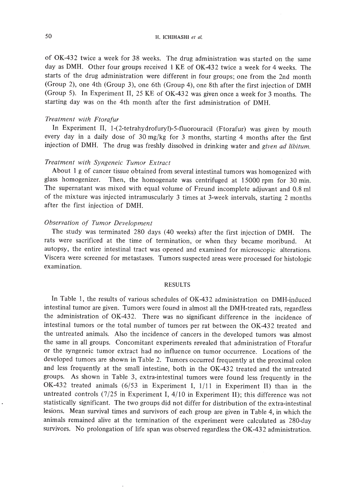50 H. ICHIHASHI *et al.*

of OK-432 twice a week for 38 weeks. The drug administration was started on the same day as DMH. Other four groups received 1 KE of OK-432 twice a week for 4 weeks. The starts of the drug administration were different in four groups; one from the 2nd month (Group 2), one 4th (Group 3), one 6th (Group 4), one 8th after the first injection of DMH (Group 5). In Experiment **II,** 25 KE of OK-432 was given once a week for 3 months. The starting day was on the 4th month after the first administration of DMH.

### *Treatment with Ftorafur*

In Experiment II, 1-(2-tetrahydrofuryl)-5-fluorouracil (Ftorafur) was given by mouth every day in a daily dose of 30 mg/kg for 3 months, starting 4 months after the first injection of DMH. The drug was freshly dissolved in drinking water and *given ad libitum.*

## *Treatment with Syngeneic Tumor Extract*

About I g of cancer tissue obtained from several intestinal tumors was homogenized with glass homogenizer. Then, the homogenate was centrifuged at 15000 rpm for 30 min. The supernatant was mixed with equal volume of Freund incomplete adjuvant and 0.8 ml of the mixture was injected intramuscularly 3 times at 3-week intervals, starting 2 months after the first injection of DMH.

### *Observation of Tumor Development*

The study was terminated 280 days (40 weeks) after the first injection of DMH. The rats were sacrificed at the time of termination, or when they became moribund. At autopsy, the entire intestinal tract was opened and examined for microscopic alterations. Viscera were screened for metastases. Tumors suspected areas were processed for histologic examination.

### RESULTS

In Table I, the results of various schedules of OK-432 administration on DMH-induced intestinal tumor are given. Tumors were found in almost all the DMH-treated rats, regardless the administration of OK-432. There was no significant difference in the incidence of intestinal tumors or the total number of tumors per rat between the OK-432 treated and the untreated animals. Also the incidence of cancers in the developed tumors was almost the same in all groups. Concomitant experiments revealed that administration of Ftorafur or the syngeneic tumor extract had no influence on tumor occurrence. Locations of the developed tumors are shown in Table 2. Tumors occurred frequently at the proximal colon and less frequently at the small intestine, both in the OK-432 treated and the untreated groups. As shown in Table 3, extra-intestinal tumors were found less frequently in the OK-432 treated animals (6/53 in Experiment I, 1/11 in Experiment II) than in the untreated controls  $(7/25$  in Experiment I,  $4/10$  in Experiment II); this difference was not statistically significant. The two groups did not differ for distribution of the extra-intestinal lesions. Mean survival times and survivors of each group are given in Table 4, in which the animals remained alive at the termination of the experiment were calculated as 280-day survivors. No prolongation of life span was observed regardless the OK-432 administration.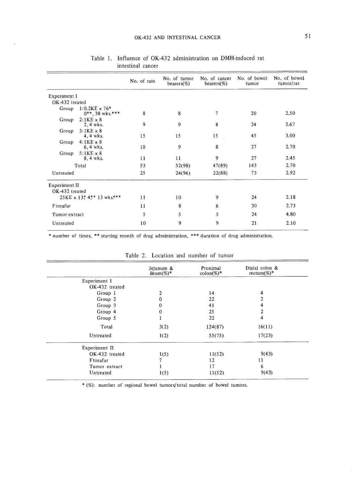|                                        |                                                   | No. of rats | No. of tumor<br>bearers $(\%)$ | No. of cancer<br>bearers $(\%)$ | No. of bowel<br>tumor | No. of bowel<br>tumor/rat |
|----------------------------------------|---------------------------------------------------|-------------|--------------------------------|---------------------------------|-----------------------|---------------------------|
| Experiment I                           |                                                   |             |                                |                                 |                       |                           |
| OK-432 treated                         |                                                   |             |                                |                                 |                       |                           |
|                                        | Group $1:0.2KE \times 76*$<br>$0***$ , 38 wks.*** | 8           | 8                              | 7                               | 20                    | 2.50                      |
| Group                                  | $2:1KE \times 8$<br>2, 4 wks.                     | 9           | 9                              | 8                               | 24                    | 2.67                      |
| Group                                  | $3:1KE \times 8$<br>4, 4 wks.                     | 15          | 15                             | 15                              | 45                    | 3.00                      |
|                                        | Group $4:1KE \times 8$<br>6, 4 wks.               | 10          | 9                              | 8                               | 27                    | 2.70                      |
| Group                                  | $5:1KE \times 8$<br>8, 4 wks.                     | 11          | 11                             | 9                               | 27                    | 2.45                      |
| Total                                  |                                                   | 53          | 52(98)                         | 47(89)                          | 143                   | 2.70                      |
| Untreated                              |                                                   | 25          | 24(96)                         | 22(88)                          | 73                    | 2.92                      |
| <b>Experiment II</b><br>OK-432 treated |                                                   |             |                                |                                 |                       |                           |
| $25KE \times 13$ * 4** 13 wks***       |                                                   | 11          | 10                             | 9                               | 24                    | 2.18                      |
| Ftorafur                               |                                                   | 11          | 8                              | 6                               | 30                    | 2.73                      |
| Tumor extract                          |                                                   | 5           | 5                              | 5                               | 24                    | 4.80                      |
| Untreated                              |                                                   | 10          | 9                              | 9                               | 21                    | 2.10                      |

# Table 1. Influence of OK-432 administration on DMH-induced rat intestinal cancer

\* number of times, \*\* starting month of drug administration, \*\*\* duration of drug administration.

|                | Jejunum &<br>ileum $(\%)^*$ | Proximal<br>$\text{colon}(\%)^*$ | Distal colon &<br>rectum(%)* |
|----------------|-----------------------------|----------------------------------|------------------------------|
| Experiment I   |                             |                                  |                              |
| OK-432 treated |                             |                                  |                              |
| Group 1        | $\boldsymbol{2}$            | 14                               | 4                            |
| Group 2        | 0                           | 22                               |                              |
| Group 3        | $\bf{0}$                    | 41                               |                              |
| Group 4        | $\theta$                    | 25                               |                              |
| Group 5        |                             | 22                               | 4                            |
| Total          | 3(2)                        | 124(87)                          | 16(11)                       |
| Untreated      | 1(2)                        | 55(75)                           | 17(23)                       |
| Experiment II  |                             |                                  |                              |
| OK-432 treated | 1(5)                        | 11(52)                           | 9(43)                        |
| Ftorafur       | 7                           | 12                               | 11                           |
| Tumor extract  |                             | 17                               | 6                            |
| Untreated      | 1(5)                        | 11(52)                           | 9(43)                        |

Table 2. Location and number of tumor

\* (%): number of regional bowel tumors/total number of bowel tumors.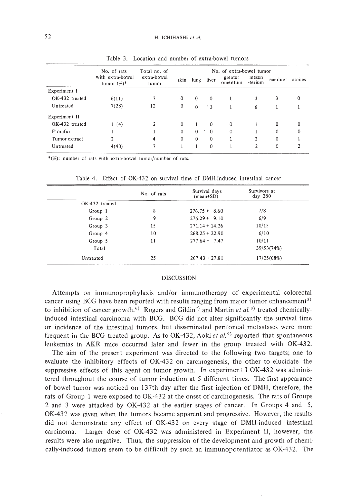|                | No. of rats                        | Total no. of<br>extra-bowel<br>tumor | No. of extra-bowel tumor |              |           |                    |                  |          |          |
|----------------|------------------------------------|--------------------------------------|--------------------------|--------------|-----------|--------------------|------------------|----------|----------|
|                | with extra-bowel<br>tumor $(\%)^*$ |                                      | skin                     | lung         | liver     | greater<br>omentum | mesen<br>-terium | ear duct | ascites  |
| Experiment I   |                                    |                                      |                          |              |           |                    |                  |          |          |
| OK-432 treated | 6(11)                              |                                      | $\mathbf{0}$             | $\theta$     | $\theta$  |                    | 3                | 3        | 0        |
| Untreated      | 7(28)                              | 12                                   | $\mathbf{0}$             | $\mathbf{0}$ | $\cdot$ 3 |                    | 6                |          |          |
| Experiment II  |                                    |                                      |                          |              |           |                    |                  |          |          |
| OK-432 treated | 1(4)                               | $\mathbf{2}$                         | $\mathbf{0}$             | Ţ.           | $\bf{0}$  | $\mathbf{0}$       | 1                | $\theta$ | 0        |
| Ftorafur       |                                    |                                      | $\mathbf{0}$             | $\theta$     | $\theta$  | $\mathbf{0}$       |                  | $^{0}$   | $\bf{0}$ |
| Tumor extract  | 2                                  | 4                                    | $\mathbf{0}$             | $\theta$     | $\theta$  |                    | 2                | $\theta$ |          |
| Untreated      | 4(40)                              | 7                                    |                          |              | $\theta$  |                    | $\overline{2}$   | $\theta$ | ኅ        |

Table 3. Location and number of extra-bowel tumors

\*(%): number of rats with extra-bowel tumor/number of rats.

|                | No. of rats | Survival days<br>$(\text{mean+SD})$ | Survivors at<br>$day$ 280 |  |
|----------------|-------------|-------------------------------------|---------------------------|--|
| OK-432 treated |             |                                     |                           |  |
| Group 1        | 8           | $276.75 + 8.60$                     | 7/8                       |  |
| Group 2        | 9           | $276.29 + 9.10$                     | 6/9                       |  |
| Group 3        | 15          | $271.14 + 14.26$                    | 10/15                     |  |
| Group 4        | 10          | $268.25 + 22.90$                    | 6/10                      |  |
| Group 5        | 11          | $277.64 + 7.47$                     | 10/11                     |  |
| Total          |             |                                     | 39/53(74%)                |  |
| Untreated      | 25          | $267.43 + 27.81$                    | 17/25(68%)                |  |

Table 4. Effect of OK-432 on survival time of DMH-induced intestinal cancer

## DISCUSSION

Attempts on immunoprophylaxis and/or immunotherapy of experimental colorectal cancer using BCG have been reported with results ranging from major tumor enhancement<sup>5)</sup> to inhibition of cancer growth. 6) Rogers and Gildin7) and Martin *et al.* 8) treated chemicallyinduced intestinal carcinoma with BCG. BCG did not alter significantly the survival time or incidence of the intestinal tumors, but disseminated peritoneal metastases were more frequent in the BCG treated group. As to OK-432, Aoki *et al.* 9) reported that spontaneous leukemias in AKR mice occurred later and fewer in the group treated with OK-432.

The aim of the present experiment was directed to the following two targets; one to evaluate the inhibitory effects of OK-432 on carcinogenesis, the other to elucidate the suppressive effects of this agent on tumor growth. **In** experiment I OK-432 was administered throughout the course of tumor induction at 5 different times. The first appearance of bowel tumor was noticed on 137th day after the first injection of DMH, therefore, the rats of Group 1 were exposed to OK-432 at the onset of carcinogenesis. The rats of Groups 2 and 3 were attacked by OK-432 at the earlier stages of cancer. In Groups 4 and 5, OK-432 was given when the tumors became apparent and progressive. However, the results did not demonstrate any effect of OK-432 on every stage of DMH-induced intestinal carcinoma. Larger dose of OK-432 was administered in Experiment II, however, the results were also negative. Thus, the suppression of the development and growth of chemically-induced tumors seem to be difficult by such an immunopotentiator as OK-432. The